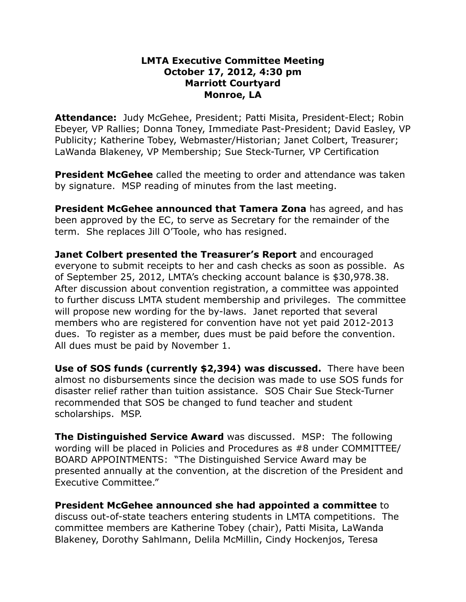## **LMTA Executive Committee Meeting October 17, 2012, 4:30 pm Marriott Courtyard Monroe, LA**

**Attendance:** Judy McGehee, President; Patti Misita, President-Elect; Robin Ebeyer, VP Rallies; Donna Toney, Immediate Past-President; David Easley, VP Publicity; Katherine Tobey, Webmaster/Historian; Janet Colbert, Treasurer; LaWanda Blakeney, VP Membership; Sue Steck-Turner, VP Certification

**President McGehee** called the meeting to order and attendance was taken by signature. MSP reading of minutes from the last meeting.

**President McGehee announced that Tamera Zona** has agreed, and has been approved by the EC, to serve as Secretary for the remainder of the term. She replaces Jill O'Toole, who has resigned.

**Janet Colbert presented the Treasurer's Report** and encouraged everyone to submit receipts to her and cash checks as soon as possible. As of September 25, 2012, LMTA's checking account balance is \$30,978.38. After discussion about convention registration, a committee was appointed to further discuss LMTA student membership and privileges. The committee will propose new wording for the by-laws. Janet reported that several members who are registered for convention have not yet paid 2012-2013 dues. To register as a member, dues must be paid before the convention. All dues must be paid by November 1.

**Use of SOS funds (currently \$2,394) was discussed.** There have been almost no disbursements since the decision was made to use SOS funds for disaster relief rather than tuition assistance. SOS Chair Sue Steck-Turner recommended that SOS be changed to fund teacher and student scholarships. MSP.

**The Distinguished Service Award** was discussed. MSP: The following wording will be placed in Policies and Procedures as #8 under COMMITTEE/ BOARD APPOINTMENTS: "The Distinguished Service Award may be presented annually at the convention, at the discretion of the President and Executive Committee."

**President McGehee announced she had appointed a committee** to discuss out-of-state teachers entering students in LMTA competitions. The committee members are Katherine Tobey (chair), Patti Misita, LaWanda Blakeney, Dorothy Sahlmann, Delila McMillin, Cindy Hockenjos, Teresa